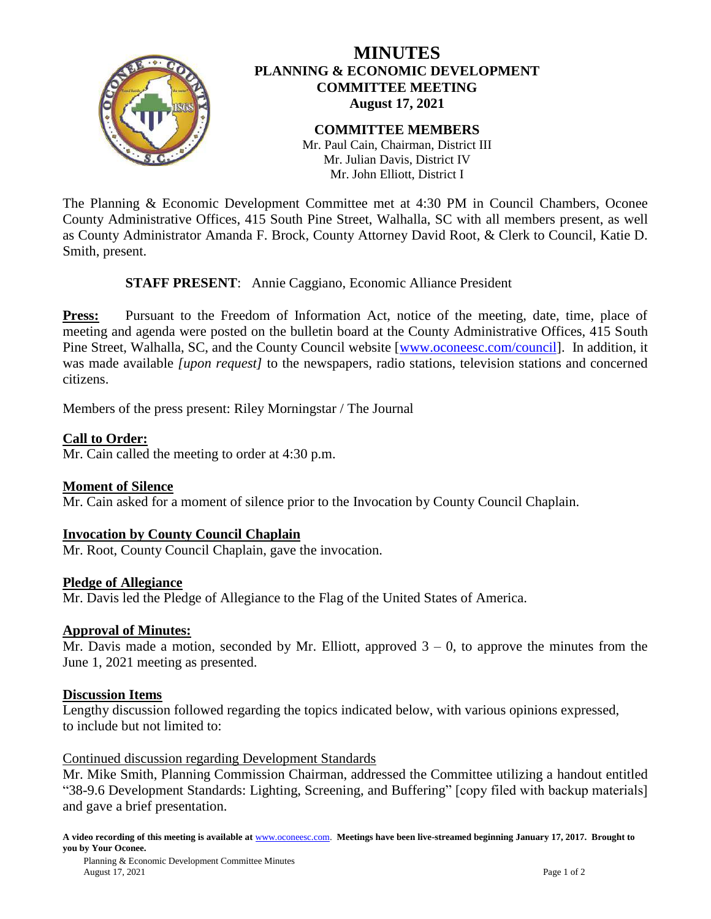

# **MINUTES PLANNING & ECONOMIC DEVELOPMENT COMMITTEE MEETING August 17, 2021**

#### **COMMITTEE MEMBERS** Mr. Paul Cain, Chairman, District III Mr. Julian Davis, District IV Mr. John Elliott, District I

The Planning & Economic Development Committee met at 4:30 PM in Council Chambers, Oconee County Administrative Offices, 415 South Pine Street, Walhalla, SC with all members present, as well as County Administrator Amanda F. Brock, County Attorney David Root, & Clerk to Council, Katie D. Smith, present.

# **STAFF PRESENT**: Annie Caggiano, Economic Alliance President

**Press:** Pursuant to the Freedom of Information Act, notice of the meeting, date, time, place of meeting and agenda were posted on the bulletin board at the County Administrative Offices, 415 South Pine Street, Walhalla, SC, and the County Council website [\[www.oconeesc.com/council\]](http://www.oconeesc.com/council). In addition, it was made available *[upon request]* to the newspapers, radio stations, television stations and concerned citizens.

Members of the press present: Riley Morningstar / The Journal

# **Call to Order:**

Mr. Cain called the meeting to order at 4:30 p.m.

# **Moment of Silence**

Mr. Cain asked for a moment of silence prior to the Invocation by County Council Chaplain.

# **Invocation by County Council Chaplain**

Mr. Root, County Council Chaplain, gave the invocation.

#### **Pledge of Allegiance**

Mr. Davis led the Pledge of Allegiance to the Flag of the United States of America.

#### **Approval of Minutes:**

Mr. Davis made a motion, seconded by Mr. Elliott, approved  $3 - 0$ , to approve the minutes from the June 1, 2021 meeting as presented.

#### **Discussion Items**

Lengthy discussion followed regarding the topics indicated below, with various opinions expressed, to include but not limited to:

#### Continued discussion regarding Development Standards

Mr. Mike Smith, Planning Commission Chairman, addressed the Committee utilizing a handout entitled "38-9.6 Development Standards: Lighting, Screening, and Buffering" [copy filed with backup materials] and gave a brief presentation.